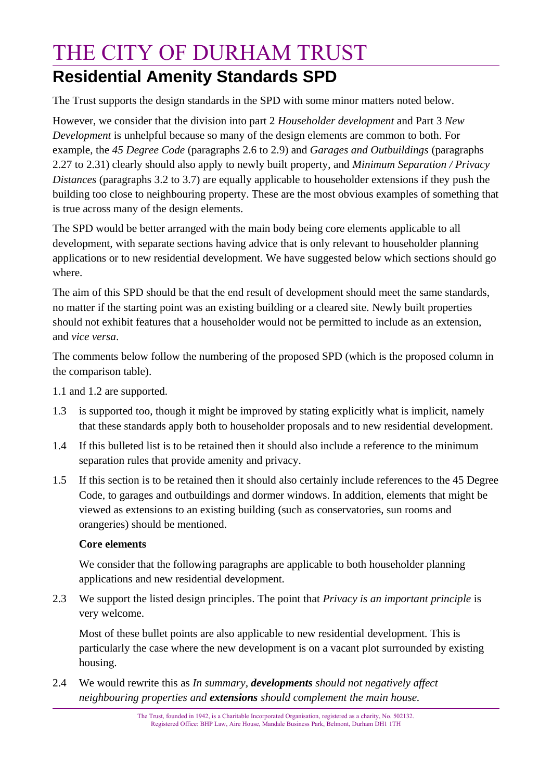## THE CITY OF DURHAM TRUST **Residential Amenity Standards SPD**

The Trust supports the design standards in the SPD with some minor matters noted below.

However, we consider that the division into part 2 *Householder development* and Part 3 *New Development* is unhelpful because so many of the design elements are common to both. For example, the *45 Degree Code* (paragraphs 2.6 to 2.9) and *Garages and Outbuildings* (paragraphs 2.27 to 2.31) clearly should also apply to newly built property, and *Minimum Separation / Privacy Distances* (paragraphs 3.2 to 3.7) are equally applicable to householder extensions if they push the building too close to neighbouring property. These are the most obvious examples of something that is true across many of the design elements.

The SPD would be better arranged with the main body being core elements applicable to all development, with separate sections having advice that is only relevant to householder planning applications or to new residential development. We have suggested below which sections should go where.

The aim of this SPD should be that the end result of development should meet the same standards, no matter if the starting point was an existing building or a cleared site. Newly built properties should not exhibit features that a householder would not be permitted to include as an extension, and *vice versa*.

The comments below follow the numbering of the proposed SPD (which is the proposed column in the comparison table).

1.1 and 1.2 are supported.

- 1.3 is supported too, though it might be improved by stating explicitly what is implicit, namely that these standards apply both to householder proposals and to new residential development.
- 1.4 If this bulleted list is to be retained then it should also include a reference to the minimum separation rules that provide amenity and privacy.
- 1.5 If this section is to be retained then it should also certainly include references to the 45 Degree Code, to garages and outbuildings and dormer windows. In addition, elements that might be viewed as extensions to an existing building (such as conservatories, sun rooms and orangeries) should be mentioned.

### **Core elements**

We consider that the following paragraphs are applicable to both householder planning applications and new residential development.

2.3 We support the listed design principles. The point that *Privacy is an important principle* is very welcome.

Most of these bullet points are also applicable to new residential development. This is particularly the case where the new development is on a vacant plot surrounded by existing housing.

2.4 We would rewrite this as *In summary, developments should not negatively affect neighbouring properties and extensions should complement the main house.*

> The Trust, founded in 1942, is a Charitable Incorporated Organisation, registered as a charity, No. 502132. Registered Office: BHP Law, Aire House, Mandale Business Park, Belmont, Durham DH1 1TH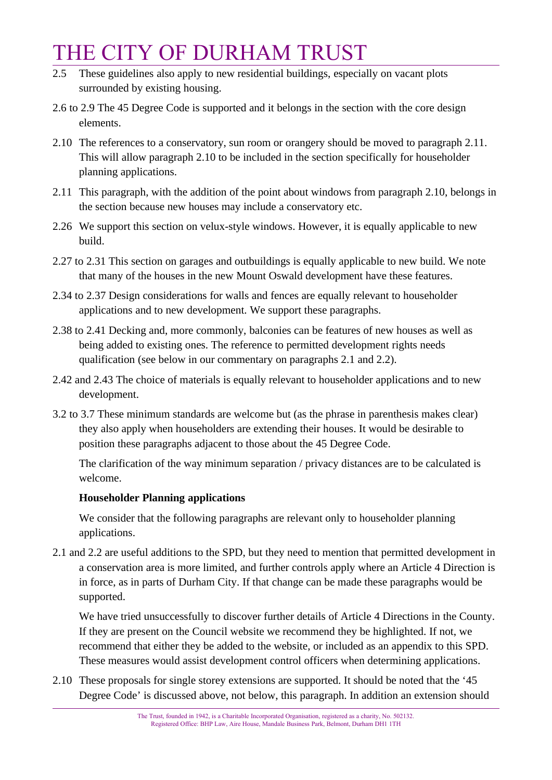# THE CITY OF DURHAM TRUST

- 2.5 These guidelines also apply to new residential buildings, especially on vacant plots surrounded by existing housing.
- 2.6 to 2.9 The 45 Degree Code is supported and it belongs in the section with the core design elements.
- 2.10 The references to a conservatory, sun room or orangery should be moved to paragraph 2.11. This will allow paragraph 2.10 to be included in the section specifically for householder planning applications.
- 2.11 This paragraph, with the addition of the point about windows from paragraph 2.10, belongs in the section because new houses may include a conservatory etc.
- 2.26 We support this section on velux-style windows. However, it is equally applicable to new build.
- 2.27 to 2.31 This section on garages and outbuildings is equally applicable to new build. We note that many of the houses in the new Mount Oswald development have these features.
- 2.34 to 2.37 Design considerations for walls and fences are equally relevant to householder applications and to new development. We support these paragraphs.
- 2.38 to 2.41 Decking and, more commonly, balconies can be features of new houses as well as being added to existing ones. The reference to permitted development rights needs qualification (see below in our commentary on paragraphs 2.1 and 2.2).
- 2.42 and 2.43 The choice of materials is equally relevant to householder applications and to new development.
- 3.2 to 3.7 These minimum standards are welcome but (as the phrase in parenthesis makes clear) they also apply when householders are extending their houses. It would be desirable to position these paragraphs adjacent to those about the 45 Degree Code.

The clarification of the way minimum separation / privacy distances are to be calculated is welcome.

### **Householder Planning applications**

We consider that the following paragraphs are relevant only to householder planning applications.

2.1 and 2.2 are useful additions to the SPD, but they need to mention that permitted development in a conservation area is more limited, and further controls apply where an Article 4 Direction is in force, as in parts of Durham City. If that change can be made these paragraphs would be supported.

We have tried unsuccessfully to discover further details of Article 4 Directions in the County. If they are present on the Council website we recommend they be highlighted. If not, we recommend that either they be added to the website, or included as an appendix to this SPD. These measures would assist development control officers when determining applications.

2.10 These proposals for single storey extensions are supported. It should be noted that the '45 Degree Code' is discussed above, not below, this paragraph. In addition an extension should

> The Trust, founded in 1942, is a Charitable Incorporated Organisation, registered as a charity, No. 502132. Registered Office: BHP Law, Aire House, Mandale Business Park, Belmont, Durham DH1 1TH